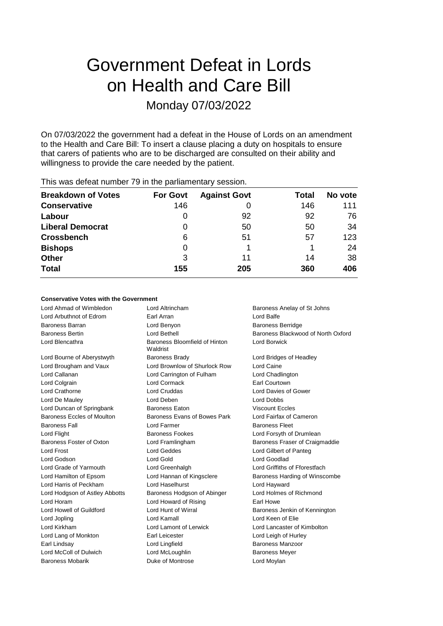# Government Defeat in Lords on Health and Care Bill Monday 07/03/2022

On 07/03/2022 the government had a defeat in the House of Lords on an amendment to the Health and Care Bill: To insert a clause placing a duty on hospitals to ensure that carers of patients who are to be discharged are consulted on their ability and willingness to provide the care needed by the patient.

| <b>Breakdown of Votes</b> | <b>For Govt</b> | <b>Against Govt</b> | Total | No vote |
|---------------------------|-----------------|---------------------|-------|---------|
| <b>Conservative</b>       | 146             |                     | 146   | 111     |
| Labour                    | O               | 92                  | 92    | 76      |
| <b>Liberal Democrat</b>   | 0               | 50                  | 50    | 34      |
| <b>Crossbench</b>         | 6               | 51                  | 57    | 123     |
| <b>Bishops</b>            | 0               |                     |       | 24      |
| <b>Other</b>              | 3               | 11                  | 14    | 38      |
| <b>Total</b>              | 155             | 205                 | 360   | 406     |
|                           |                 |                     |       |         |

This was defeat number 79 in the parliamentary session.

## **Conservative Votes with the Government**

| Lord Ahmad of Wimbledon        | Lord Altrincham                           | Baroness Anelay of St Johns        |
|--------------------------------|-------------------------------------------|------------------------------------|
| Lord Arbuthnot of Edrom        | Earl Arran                                | Lord Balfe                         |
| <b>Baroness Barran</b>         | Lord Benyon                               | <b>Baroness Berridge</b>           |
| <b>Baroness Bertin</b>         | Lord Bethell                              | Baroness Blackwood of North Oxford |
| Lord Blencathra                | Baroness Bloomfield of Hinton<br>Waldrist | Lord Borwick                       |
| Lord Bourne of Aberystwyth     | <b>Baroness Brady</b>                     | Lord Bridges of Headley            |
| Lord Brougham and Vaux         | Lord Brownlow of Shurlock Row             | Lord Caine                         |
| Lord Callanan                  | Lord Carrington of Fulham                 | Lord Chadlington                   |
| Lord Colgrain                  | <b>Lord Cormack</b>                       | Earl Courtown                      |
| Lord Crathorne                 | <b>Lord Cruddas</b>                       | Lord Davies of Gower               |
| Lord De Mauley                 | Lord Deben                                | Lord Dobbs                         |
| Lord Duncan of Springbank      | <b>Baroness Eaton</b>                     | <b>Viscount Eccles</b>             |
| Baroness Eccles of Moulton     | Baroness Evans of Bowes Park              | Lord Fairfax of Cameron            |
| <b>Baroness Fall</b>           | Lord Farmer                               | <b>Baroness Fleet</b>              |
| Lord Flight                    | <b>Baroness Fookes</b>                    | Lord Forsyth of Drumlean           |
| Baroness Foster of Oxton       | Lord Framlingham                          | Baroness Fraser of Craigmaddie     |
| <b>Lord Frost</b>              | Lord Geddes                               | Lord Gilbert of Panteg             |
| Lord Godson                    | Lord Gold                                 | Lord Goodlad                       |
| Lord Grade of Yarmouth         | Lord Greenhalgh                           | Lord Griffiths of Fforestfach      |
| Lord Hamilton of Epsom         | Lord Hannan of Kingsclere                 | Baroness Harding of Winscombe      |
| Lord Harris of Peckham         | Lord Haselhurst                           | Lord Hayward                       |
| Lord Hodgson of Astley Abbotts | Baroness Hodgson of Abinger               | Lord Holmes of Richmond            |
| Lord Horam                     | Lord Howard of Rising                     | Earl Howe                          |
| Lord Howell of Guildford       | Lord Hunt of Wirral                       | Baroness Jenkin of Kennington      |
| Lord Jopling                   | Lord Kamall                               | Lord Keen of Elie                  |
| Lord Kirkham                   | Lord Lamont of Lerwick                    | Lord Lancaster of Kimbolton        |
| Lord Lang of Monkton           | Earl Leicester                            | Lord Leigh of Hurley               |
| Earl Lindsay                   | Lord Lingfield                            | Baroness Manzoor                   |
| Lord McColl of Dulwich         | Lord McLoughlin                           | <b>Baroness Meyer</b>              |
| <b>Baroness Mobarik</b>        | Duke of Montrose                          | Lord Moylan                        |
|                                |                                           |                                    |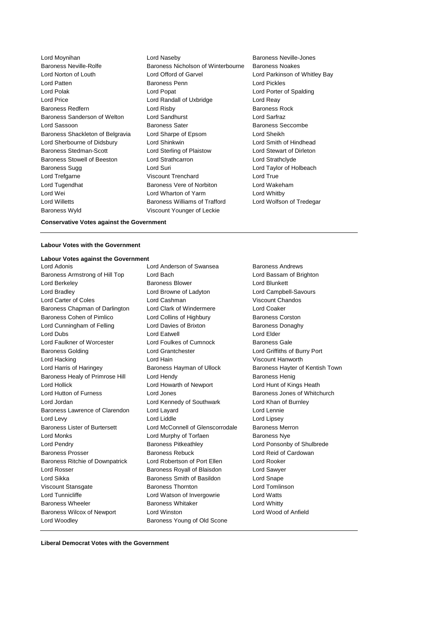Lord Sherbourne of Didsbury Lord Shinkwin Baroness Wyld Viscount Younger of Leckie

Lord Moynihan Lord Naseby Baroness Neville-Jones Baroness Neville-Rolfe Baroness Nicholson of Winterbourne Baroness Noakes Lord Norton of Louth Lord Offord of Garvel Lord Parkinson of Whitley Bay Lord Patten Baroness Penn Lord Pickles Lord Polak Lord Popat Lord Porter of Spalding Lord Price **Lord Contact Lord Randall of Uxbridge** Lord Reay Baroness Redfern **Baroness Rock** Lord Risby **Baroness Rock Baroness Rock** Baroness Sanderson of Welton Lord Sandhurst Lord Sarfraz Lord Sassoon **Baroness Sater** Baroness Seccombe Baroness Shackleton of Belgravia Lord Sharpe of Epsom Lord Sheikh<br>
Lord Sherbourne of Didsbury Lord Shinkwin<br>
Lord Smith of Hindhead Baroness Stedman-Scott **Lord Sterling of Plaistow** Lord Stewart of Dirleton Baroness Stowell of Beeston Lord Strathcarron Lord Strathclyde Baroness Sugg **Lord Suri** Lord Suri **Lord Taylor of Holbeach** Lord Trefgarne Viscount Trenchard Lord True Lord Tugendhat Baroness Vere of Norbiton Lord Wakeham Lord Wei Lord Wharton of Yarm Lord Whitby Lord Willetts **Baroness Williams of Trafford** Lord Wolfson of Tredegar

#### **Conservative Votes against the Government**

#### **Labour Votes with the Government**

#### **Labour Votes against the Government**

Baroness Armstrong of Hill Top Lord Bach Lord Bach Lord Bassam of Brighton Lord Berkeley **Baroness Blower Baroness Blower Lord Blunkett** Lord Bradley Lord Browne of Ladyton Lord Campbell-Savours Lord Carter of Coles Lord Cashman Viscount Chandos Baroness Chapman of Darlington Lord Clark of Windermere Lord Coaker Baroness Cohen of Pimlico **Lord Collins of Highbury** Baroness Corston Lord Cunningham of Felling **Lord Davies of Brixton** Baroness Donaghy Lord Dubs Lord Eatwell Lord Elder Lord Faulkner of Worcester Lord Foulkes of Cumnock Baroness Gale Baroness Golding Lord Grantchester Lord Griffiths of Burry Port Lord Hacking Lord Hain Viscount Hanworth Lord Harris of Haringey **Baroness Hayman of Ullock** Baroness Hayter of Kentish Town Baroness Healy of Primrose Hill Lord Hendy **Baroness Henig** Baroness Henig Lord Hollick Lord Howarth of Newport Lord Hunt of Kings Heath Lord Hutton of Furness **Lord Jones Conserversity** Baroness Jones of Whitchurch Lord Jordan Lord Kennedy of Southwark Lord Khan of Burnley Baroness Lawrence of Clarendon Lord Layard Lord Lennie Lord Levy **Lord Liddle** Lord Liddle **Lord Linesey** Baroness Lister of Burtersett Lord McConnell of Glenscorrodale Baroness Merron Lord Monks Lord Murphy of Torfaen Baroness Nye Lord Pendry **Baroness Pitkeathley Baroness Pitkeathley Lord Ponsonby of Shulbrede** Baroness Prosser **Baroness Rebuck** Lord Reid of Cardowan **Baroness Rebuck Lord Reid of Cardowan** Baroness Ritchie of Downpatrick Lord Robertson of Port Ellen Lord Rooker Lord Rosser **Baroness Royall of Blaisdon** Lord Sawyer Lord Sikka Baroness Smith of Basildon Lord Snape Viscount Stansgate Baroness Thornton Lord Tomlinson Lord Tunnicliffe Lord Watson of Invergowrie Lord Watts Baroness Wheeler **Baroness Whitaker** Lord Whitty Baroness Wilcox of Newport Lord Winston Lord Wood of Anfield Lord Woodley **Baroness Young of Old Scone** 

Lord Adonis Lord Anderson of Swansea Baroness Andrews

**Liberal Democrat Votes with the Government**